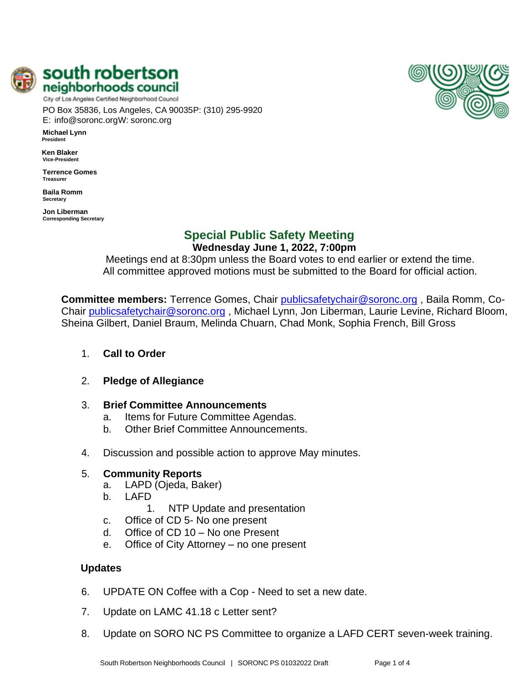

south robertson neighborhoods council City of Los Angeles Certified Neighborhood Council

PO Box 35836, Los Angeles, CA 90035P: (310) 295-9920 E: [info@soronc.orgW](mailto:info@soronc.org): soronc.org

**Michael Lynn President**

**Ken Blaker Vice-President**

**Terrence Gomes Treasurer**

**Baila Romm Secretary**

**Jon Liberman Corresponding Secretary**

# **Special Public Safety Meeting**

Sheina Gilbert, Daniel Braum, Melinda Chuarn, Chad Monk, Sophia French, Bill Gross

**Wednesday June 1, 2022, 7:00pm** Meetings end at 8:30pm unless the Board votes to end earlier or extend the time.

**Committee members:** Terrence Gomes, Chair [publicsafetychair@soronc.org](mailto:publicsafetychair@soronc.org) , Baila Romm, CoChair [publicsafetychair@soronc.org](mailto:publicsafetychair@soronc.org), Michael Lynn, Jon Liberman, Laurie Levine, Richard Bloom,

All committee approved motions must be submitted to the Board for official action.

- 1. **Call to Order**
- 2. **Pledge of Allegiance**
- 3. **Brief Committee Announcements**
	- a. Items for Future Committee Agendas.
	- b. Other Brief Committee Announcements.
- 4. Discussion and possible action to approve May minutes.

## 5. **Community Reports**

- a. LAPD (Ojeda, Baker)
- b. LAFD
	- 1. NTP Update and presentation
- c. Office of CD 5- No one present
- d. Office of CD 10 No one Present
- e. Office of City Attorney no one present

## **Updates**

- 6. UPDATE ON Coffee with a Cop Need to set a new date.
- 7. Update on LAMC 41.18 c Letter sent?
- 8. Update on SORO NC PS Committee to organize a LAFD CERT seven-week training.

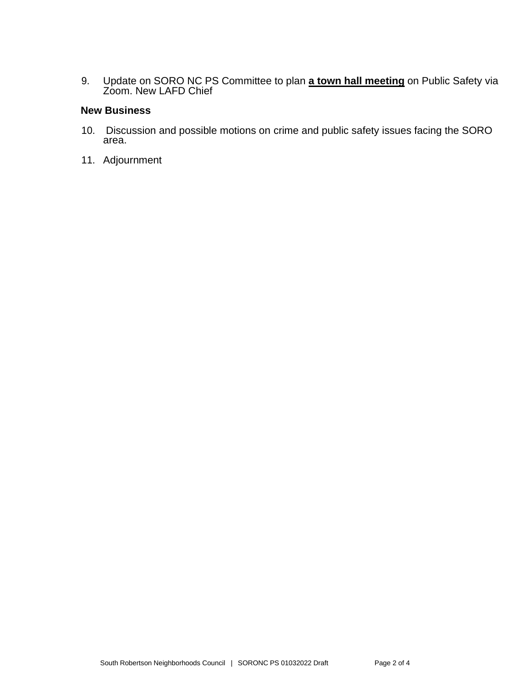9. Update on SORO NC PS Committee to plan **a town hall meeting** on Public Safety via Zoom. New LAFD Chief

## **New Business**

- 10. Discussion and possible motions on crime and public safety issues facing the SORO area.
- 11. Adjournment